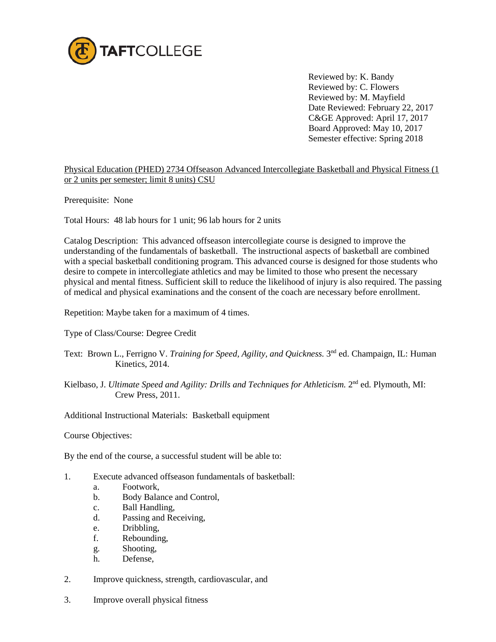

Reviewed by: K. Bandy Reviewed by: C. Flowers Reviewed by: M. Mayfield Date Reviewed: February 22, 2017 C&GE Approved: April 17, 2017 Board Approved: May 10, 2017 Semester effective: Spring 2018

Physical Education (PHED) 2734 Offseason Advanced Intercollegiate Basketball and Physical Fitness (1 or 2 units per semester; limit 8 units) CSU

Prerequisite: None

Total Hours: 48 lab hours for 1 unit; 96 lab hours for 2 units

Catalog Description: This advanced offseason intercollegiate course is designed to improve the understanding of the fundamentals of basketball. The instructional aspects of basketball are combined with a special basketball conditioning program. This advanced course is designed for those students who desire to compete in intercollegiate athletics and may be limited to those who present the necessary physical and mental fitness. Sufficient skill to reduce the likelihood of injury is also required. The passing of medical and physical examinations and the consent of the coach are necessary before enrollment.

Repetition: Maybe taken for a maximum of 4 times.

Type of Class/Course: Degree Credit

- Text: Brown L., Ferrigno V. *Training for Speed, Agility, and Quickness*. 3<sup>nd</sup> ed. Champaign, IL: Human Kinetics, 2014.
- Kielbaso, J. *Ultimate Speed and Agility: Drills and Techniques for Athleticism.* 2nd ed. Plymouth, MI: Crew Press, 2011.

Additional Instructional Materials: Basketball equipment

Course Objectives:

By the end of the course, a successful student will be able to:

- 1. Execute advanced offseason fundamentals of basketball:
	- a. Footwork,
	- b. Body Balance and Control,
	- c. Ball Handling,
	- d. Passing and Receiving,
	- e. Dribbling,
	- f. Rebounding,
	- g. Shooting,
	- h. Defense,
- 2. Improve quickness, strength, cardiovascular, and
- 3. Improve overall physical fitness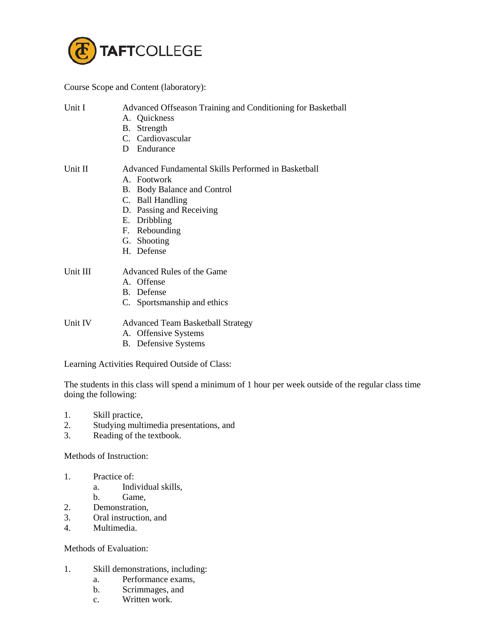

Course Scope and Content (laboratory):

Unit I Advanced Offseason Training and Conditioning for Basketball

- A. Quickness
- B. Strength
- C. Cardiovascular
- D Endurance

## Unit II **Advanced Fundamental Skills Performed in Basketball**

- A. Footwork
- B. Body Balance and Control
- C. Ball Handling
- D. Passing and Receiving
- E. Dribbling
- F. Rebounding
- G. Shooting
- H. Defense

## Unit III Advanced Rules of the Game

- A. Offense
- B. Defense
- C. Sportsmanship and ethics

- Unit IV Advanced Team Basketball Strategy
	- A. Offensive Systems
	- B. Defensive Systems

Learning Activities Required Outside of Class:

The students in this class will spend a minimum of 1 hour per week outside of the regular class time doing the following:

- 1. Skill practice,
- 2. Studying multimedia presentations, and
- 3. Reading of the textbook.

Methods of Instruction:

- 1. Practice of:
	- a. Individual skills,
	- b. Game,
- 2. Demonstration,
- 3. Oral instruction, and
- 4. Multimedia.

## Methods of Evaluation:

- 1. Skill demonstrations, including:
	- a. Performance exams,
	- b. Scrimmages, and
	- c. Written work.